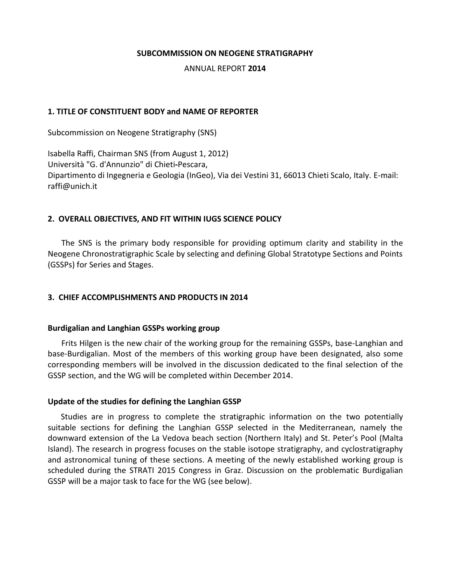#### **SUBCOMMISSION ON NEOGENE STRATIGRAPHY**

#### ANNUAL REPORT **2014**

#### **1. TITLE OF CONSTITUENT BODY and NAME OF REPORTER**

Subcommission on Neogene Stratigraphy (SNS)

Isabella Raffi, Chairman SNS (from August 1, 2012) Università "G. d'Annunzio" di Chieti**-**Pescara, Dipartimento di Ingegneria e Geologia (InGeo), Via dei Vestini 31, 66013 Chieti Scalo, Italy. E-mail: raffi@unich.it

#### **2. OVERALL OBJECTIVES, AND FIT WITHIN IUGS SCIENCE POLICY**

The SNS is the primary body responsible for providing optimum clarity and stability in the Neogene Chronostratigraphic Scale by selecting and defining Global Stratotype Sections and Points (GSSPs) for Series and Stages.

## **3. CHIEF ACCOMPLISHMENTS AND PRODUCTS IN 2014**

#### **Burdigalian and Langhian GSSPs working group**

Frits Hilgen is the new chair of the working group for the remaining GSSPs, base-Langhian and base-Burdigalian. Most of the members of this working group have been designated, also some corresponding members will be involved in the discussion dedicated to the final selection of the GSSP section, and the WG will be completed within December 2014.

#### **Update of the studies for defining the Langhian GSSP**

Studies are in progress to complete the stratigraphic information on the two potentially suitable sections for defining the Langhian GSSP selected in the Mediterranean, namely the downward extension of the La Vedova beach section (Northern Italy) and St. Peter's Pool (Malta Island). The research in progress focuses on the stable isotope stratigraphy, and cyclostratigraphy and astronomical tuning of these sections. A meeting of the newly established working group is scheduled during the STRATI 2015 Congress in Graz. Discussion on the problematic Burdigalian GSSP will be a major task to face for the WG (see below).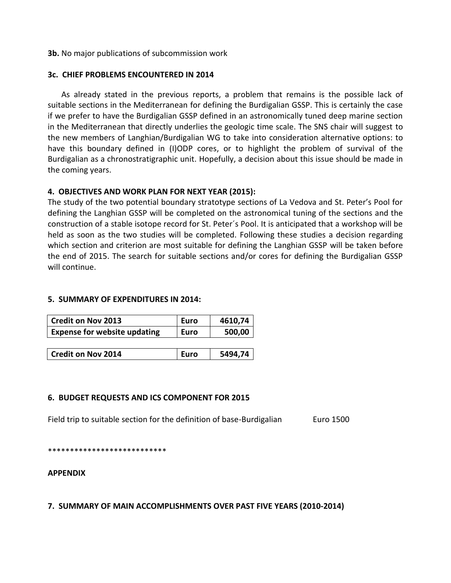#### **3b.** No major publications of subcommission work

#### **3c. CHIEF PROBLEMS ENCOUNTERED IN 2014**

As already stated in the previous reports, a problem that remains is the possible lack of suitable sections in the Mediterranean for defining the Burdigalian GSSP. This is certainly the case if we prefer to have the Burdigalian GSSP defined in an astronomically tuned deep marine section in the Mediterranean that directly underlies the geologic time scale. The SNS chair will suggest to the new members of Langhian/Burdigalian WG to take into consideration alternative options: to have this boundary defined in (I)ODP cores, or to highlight the problem of survival of the Burdigalian as a chronostratigraphic unit. Hopefully, a decision about this issue should be made in the coming years.

## **4. OBJECTIVES AND WORK PLAN FOR NEXT YEAR (2015):**

The study of the two potential boundary stratotype sections of La Vedova and St. Peter's Pool for defining the Langhian GSSP will be completed on the astronomical tuning of the sections and the construction of a stable isotope record for St. Peter´s Pool. It is anticipated that a workshop will be held as soon as the two studies will be completed. Following these studies a decision regarding which section and criterion are most suitable for defining the Langhian GSSP will be taken before the end of 2015. The search for suitable sections and/or cores for defining the Burdigalian GSSP will continue.

## **5. SUMMARY OF EXPENDITURES IN 2014:**

| Credit on Nov 2013                  | <b>Euro</b> | 4610,74 |
|-------------------------------------|-------------|---------|
| <b>Expense for website updating</b> | Euro        | 500,00  |

| <b>Credit on Nov 2014</b> | l Euro | 5494,74 |
|---------------------------|--------|---------|
|                           |        |         |

## **6. BUDGET REQUESTS AND ICS COMPONENT FOR 2015**

Field trip to suitable section for the definition of base-Burdigalian Euro 1500

\*\*\*\*\*\*\*\*\*\*\*\*\*\*\*\*\*\*\*\*\*\*\*\*\*\*\*

## **APPENDIX**

**7. SUMMARY OF MAIN ACCOMPLISHMENTS OVER PAST FIVE YEARS (2010-2014)**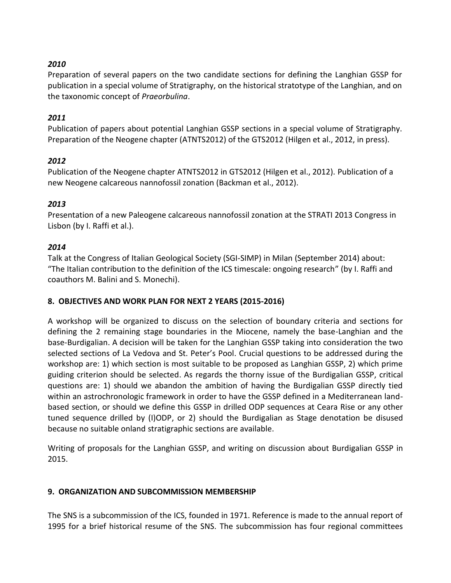# *2010*

Preparation of several papers on the two candidate sections for defining the Langhian GSSP for publication in a special volume of Stratigraphy, on the historical stratotype of the Langhian, and on the taxonomic concept of *Praeorbulina*.

# *2011*

Publication of papers about potential Langhian GSSP sections in a special volume of Stratigraphy. Preparation of the Neogene chapter (ATNTS2012) of the GTS2012 (Hilgen et al., 2012, in press).

## *2012*

Publication of the Neogene chapter ATNTS2012 in GTS2012 (Hilgen et al., 2012). Publication of a new Neogene calcareous nannofossil zonation (Backman et al., 2012).

## *2013*

Presentation of a new Paleogene calcareous nannofossil zonation at the STRATI 2013 Congress in Lisbon (by I. Raffi et al.).

## *2014*

Talk at the Congress of Italian Geological Society (SGI-SIMP) in Milan (September 2014) about: "The Italian contribution to the definition of the ICS timescale: ongoing research" (by I. Raffi and coauthors M. Balini and S. Monechi).

# **8. OBJECTIVES AND WORK PLAN FOR NEXT 2 YEARS (2015-2016)**

A workshop will be organized to discuss on the selection of boundary criteria and sections for defining the 2 remaining stage boundaries in the Miocene, namely the base-Langhian and the base-Burdigalian. A decision will be taken for the Langhian GSSP taking into consideration the two selected sections of La Vedova and St. Peter's Pool. Crucial questions to be addressed during the workshop are: 1) which section is most suitable to be proposed as Langhian GSSP, 2) which prime guiding criterion should be selected. As regards the thorny issue of the Burdigalian GSSP, critical questions are: 1) should we abandon the ambition of having the Burdigalian GSSP directly tied within an astrochronologic framework in order to have the GSSP defined in a Mediterranean landbased section, or should we define this GSSP in drilled ODP sequences at Ceara Rise or any other tuned sequence drilled by (I)ODP, or 2) should the Burdigalian as Stage denotation be disused because no suitable onland stratigraphic sections are available.

Writing of proposals for the Langhian GSSP, and writing on discussion about Burdigalian GSSP in 2015.

## **9. ORGANIZATION AND SUBCOMMISSION MEMBERSHIP**

The SNS is a subcommission of the ICS, founded in 1971. Reference is made to the annual report of 1995 for a brief historical resume of the SNS. The subcommission has four regional committees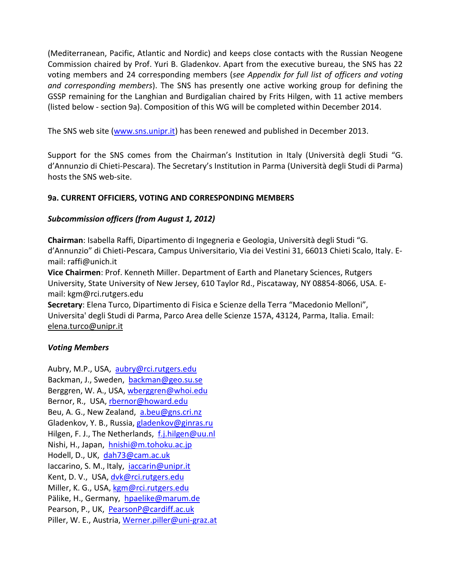(Mediterranean, Pacific, Atlantic and Nordic) and keeps close contacts with the Russian Neogene Commission chaired by Prof. Yuri B. Gladenkov. Apart from the executive bureau, the SNS has 22 voting members and 24 corresponding members (*see Appendix for full list of officers and voting and corresponding members*). The SNS has presently one active working group for defining the GSSP remaining for the Langhian and Burdigalian chaired by Frits Hilgen, with 11 active members (listed below - section 9a). Composition of this WG will be completed within December 2014.

The SNS web site [\(www.sns.unipr.it\)](http://www.sns.unipr.it/) has been renewed and published in December 2013.

Support for the SNS comes from the Chairman's Institution in Italy (Università degli Studi "G. d'Annunzio di Chieti-Pescara). The Secretary's Institution in Parma (Università degli Studi di Parma) hosts the SNS web-site.

# **9a. CURRENT OFFICIERS, VOTING AND CORRESPONDING MEMBERS**

# *Subcommission officers (from August 1, 2012)*

**Chairman**: Isabella Raffi, [Dipartimento di Ingegneria e Geologia,](http://www.unich.it/unichieti/portletlocator/ContattoOrganizzazione_details?path=/BEA%20Repository/132035) Università degli Studi "G. d'Annunzio" di Chieti-Pescara, Campus Universitario, Via dei Vestini 31, 66013 Chieti Scalo, Italy. Email: [raffi@unich.it](mailto:raffi@unich.it)

**Vice Chairmen**: Prof. Kenneth Miller. [Department of Earth and Planetary Sciences,](http://geology.rutgers.edu/) Rutgers University, State University of New Jersey, 610 Taylor Rd., Piscataway, NY 08854-8066, USA. Email: kgm@rci.rutgers.edu

**Secretary**: Elena Turco, Dipartimento di Fisica e Scienze della Terra "Macedonio Melloni", Universita' degli Studi di Parma, Parco Area delle Scienze 157A, 43124, Parma, Italia. Email: elena.turco@unipr.it

# *Voting Members*

Aubry, M.P., USA, [aubry@rci.rutgers.edu](mailto:aubry@rci.rutgers.edu) Backman, J., Sweden, [backman@geo.su.se](mailto:backman@geo.su.se) Berggren, W. A., USA, [wberggren@whoi.edu](mailto:wberggren@whoi.edu) Bernor, R., USA, [rbernor@howard.edu](mailto:rbernor@howard.edu) Beu, A. G., New Zealand, [a.beu@gns.cri.nz](mailto:a.beu@gns.cri.nz) Gladenkov, Y. B., Russia, [gladenkov@ginras.ru](mailto:gladenkov@ginras.ru) Hilgen, F. J., The Netherlands, [f.j.hilgen@uu.nl](mailto:f.j.hilgen@uu.nl) Nishi, H., Japan, [hnishi@m.tohoku.ac.jp](mailto:hnishi@m.tohoku.ac.jp) Hodell, D., UK, [dah73@cam.ac.uk](mailto:dah73@cam.ac.uk) Iaccarino, S. M., Italy, [iaccarin@unipr.it](mailto:iaccarin@unipr.it) Kent, D. V., USA, [dvk@rci.rutgers.edu](mailto:dvk@rci.rutgers.edu) Miller, K. G., USA, [kgm@rci.rutgers.edu](mailto:kgm@rci.rutgers.edu) Pälike, H., Germany, [hpaelike@marum.de](mailto:hpaelike@marum.de) Pearson, P., UK, [PearsonP@cardiff.ac.uk](mailto:PearsonP@cardiff.ac.uk) Piller, W. E., Austria, [Werner.piller@uni-graz.at](mailto:Werner.piller@uni-graz.at)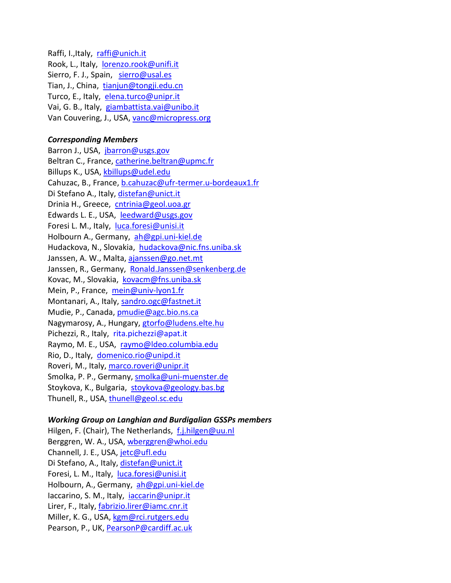Raffi, I.,Italy, [raffi@unich.it](mailto:raffi@unich.it) Rook, L., Italy, [lorenzo.rook@unifi.it](mailto:lorenzo.rook@unifi.it) Sierro, F. J., Spain, [sierro@usal.es](mailto:sierro@usal.es) Tian, J., China, [tianjun@tongji.edu.cn](mailto:tianjun@tongji.edu.cn) Turco, E., Italy, [elena.turco@unipr.it](mailto:elena.turco@unipr.it) Vai, G. B., Italy, [giambattista.vai@unibo.it](mailto:giambattista.vai@unibo.it) Van Couvering, J., USA, [vanc@micropress.org](mailto:vanc@micropress.org)

## *Corresponding Members*

Barron J., USA, [jbarron@usgs.gov](mailto:jbarron@usgs.gov) Beltran C., France[, catherine.beltran@upmc.fr](mailto:catherine.beltran@upmc.fr) Billups K., USA, [kbillups@udel.edu](mailto:kbillups@udel.edu) Cahuzac, B., France, [b.cahuzac@ufr-termer.u-bordeaux1.fr](mailto:b.cahuzac@ufr-termer.u-bordeaux1.fr) Di Stefano A., Italy, [distefan@unict.it](mailto:distefan@unict.it) Drinia H., Greece, [cntrinia@geol.uoa.gr](mailto:cntrinia@geol.uoa.gr) Edwards L. E., USA, [leedward@usgs.gov](mailto:leedward@usgs.gov) Foresi L. M., Italy, [luca.foresi@unisi.it](mailto:luca.foresi@unisi.it) Holbourn A., Germany, [ah@gpi.uni-kiel.de](mailto:ah@gpi.uni-kiel.de)  Hudackova, N., Slovakia, [hudackova@nic.fns.uniba.sk](mailto:hudackova@nic.fns.uniba.sk) Janssen, A. W., Malta, [ajanssen@go.net.mt](mailto:ajanssen@go.net.mt) Janssen, R., Germany, [Ronald.Janssen@senkenberg.de](mailto:Ronald.Janssen@senkenberg.de) Kovac, M., Slovakia, [kovacm@fns.uniba.sk](mailto:kovacm@fns.uniba.sk) Mein, P., France, [mein@univ-lyon1.fr](mailto:mein@univ-lyon1.fr) Montanari, A., Italy, [sandro.ogc@fastnet.it](mailto:sandro.ogc@fastnet.it) Mudie, P., Canada, [pmudie@agc.bio.ns.ca](mailto:pmudie@agc.bio.ns.ca) Nagymarosy, A., Hungary, [gtorfo@ludens.elte.hu](mailto:gtorfo@ludens.elte.hu) Pichezzi, R., Italy, rita.pichezzi@apat.it Raymo, M. E., USA, [raymo@ldeo.columbia.edu](mailto:raymo@ldeo.columbia.edu) Rio, D., Italy, [domenico.rio@unipd.it](mailto:domenico.rio@unipd.it) Roveri, M., Italy, [marco.roveri@unipr.it](mailto:marco.roveri@unipr.it) Smolka, P. P., Germany, [smolka@uni-muenster.de](mailto:smolka@uni-muenster.de) Stoykova, K., Bulgaria, [stoykova@geology.bas.bg](mailto:stoykova@geology.bas.bg) Thunell, R., USA, [thunell@geol.sc.edu](mailto:thunell@geol.sc.edu)

## *Working Group on Langhian and Burdigalian GSSPs members*

Hilgen, F. (Chair), The Netherlands, [f.j.hilgen@uu.nl](mailto:f.j.hilgen@uu.nl) Berggren, W. A., USA, [wberggren@whoi.edu](mailto:wberggren@whoi.edu) Channell, J. E., USA, [jetc@ufl.edu](mailto:jetc@ufl.edu) Di Stefano, A., Italy, [distefan@unict.it](mailto:distefan@unict.it) Foresi, L. M., Italy, [luca.foresi@unisi.it](mailto:luca.foresi@unisi.it) Holbourn, A., Germany, [ah@gpi.uni-kiel.de](mailto:ah@gpi.uni-kiel.de) Iaccarino, S. M., Italy, [iaccarin@unipr.it](mailto:iaccarin@unipr.it) Lirer, F., Italy, [fabrizio.lirer@iamc.cnr.it](mailto:fabrizio.lirer@iamc.cnr.it) Miller, K. G., USA, [kgm@rci.rutgers.edu](mailto:kgm@rci.rutgers.edu) Pearson, P., UK, [PearsonP@cardiff.ac.uk](mailto:PearsonP@cardiff.ac.uk)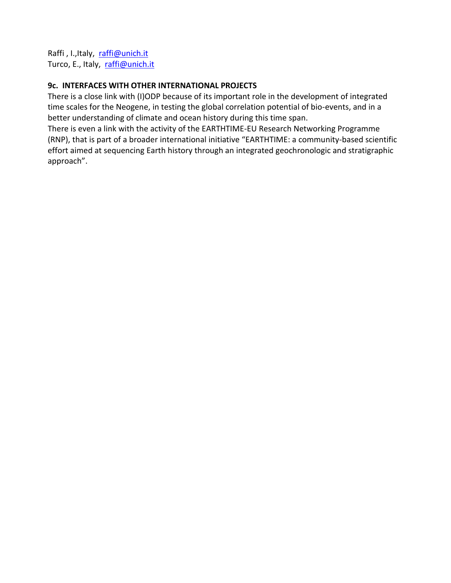Raffi, I., Italy, [raffi@unich.it](mailto:raffi@unich.it) Turco, E., Italy, [raffi@unich.it](mailto:raffi@unich.it)

# **9c. INTERFACES WITH OTHER INTERNATIONAL PROJECTS**

There is a close link with (I)ODP because of its important role in the development of integrated time scales for the Neogene, in testing the global correlation potential of bio-events, and in a better understanding of climate and ocean history during this time span.

There is even a link with the activity of the EARTHTIME-EU Research Networking Programme (RNP), that is part of a broader international initiative "EARTHTIME: a community-based scientific effort aimed at sequencing Earth history through an integrated geochronologic and stratigraphic approach".